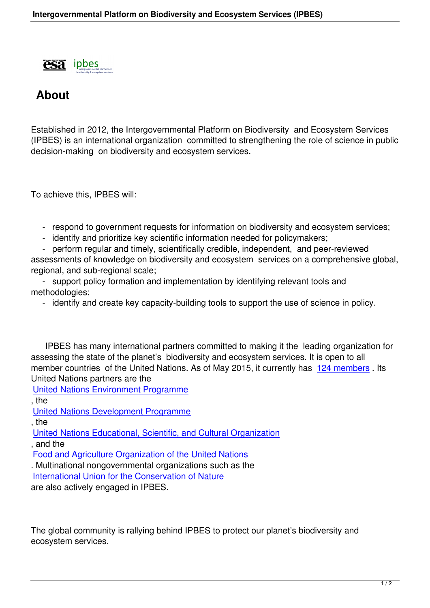

## **About**

Established in 2012, the Intergovernmental Platform on Biodiversity and Ecosystem Services (IPBES) is an international organization committed to strengthening the role of science in public decision-making on biodiversity and ecosystem services.

To achieve this, IPBES will:

- respond to government requests for information on biodiversity and ecosystem services;

- identify and prioritize key scientific information needed for policymakers;

 - perform regular and timely, scientifically credible, independent, and peer-reviewed assessments of knowledge on biodiversity and ecosystem services on a comprehensive global,

regional, and sub-regional scale;

 - support policy formation and implementation by identifying relevant tools and methodologies;

- identify and create key capacity-building tools to support the use of science in policy.

 IPBES has many international partners committed to making it the leading organization for assessing the state of the planet's biodiversity and ecosystem services. It is open to all member countries of the United Nations. As of May 2015, it currently has 124 members. Its United Nations partners are the

United Nations Environment Programme

, the

United Nations Development Programme

[, the](http://unep.org/) 

United Nations Educational, Scientific, and Cultural Organization

[, and the](http://www.undp.org/content/undp/en/home.html) 

Food and Agriculture Organization of the United Nations

[. Multinational nongovernmental organizations such as the](http://en.unesco.org/) 

International Union for the Conservation of Nature

[are also actively engaged in IPBES.](http://www.fao.org/home/en/)

The global community is rallying behind IPBES to protect our planet's biodiversity and ecosystem services.